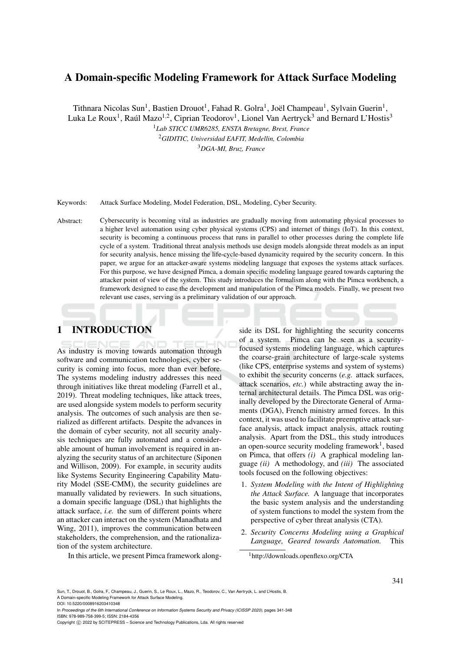## A Domain-specific Modeling Framework for Attack Surface Modeling

Tithnara Nicolas Sun<sup>1</sup>, Bastien Drouot<sup>1</sup>, Fahad R. Golra<sup>1</sup>, Joël Champeau<sup>1</sup>, Sylvain Guerin<sup>1</sup>, Luka Le Roux<sup>1</sup>, Raúl Mazo<sup>1,2</sup>, Ciprian Teodorov<sup>1</sup>, Lionel Van Aertryck<sup>3</sup> and Bernard L'Hostis<sup>3</sup>

<sup>1</sup>*Lab STICC UMR6285, ENSTA Bretagne, Brest, France* <sup>2</sup>*GIDITIC, Universidad EAFIT, Medellin, Colombia* <sup>3</sup>*DGA-MI, Bruz, France*

Keywords: Attack Surface Modeling, Model Federation, DSL, Modeling, Cyber Security.

Abstract: Cybersecurity is becoming vital as industries are gradually moving from automating physical processes to a higher level automation using cyber physical systems (CPS) and internet of things (IoT). In this context, security is becoming a continuous process that runs in parallel to other processes during the complete life cycle of a system. Traditional threat analysis methods use design models alongside threat models as an input for security analysis, hence missing the life-cycle-based dynamicity required by the security concern. In this paper, we argue for an attacker-aware systems modeling language that exposes the systems attack surfaces. For this purpose, we have designed Pimca, a domain specific modeling language geared towards capturing the attacker point of view of the system. This study introduces the formalism along with the Pimca workbench, a framework designed to ease the development and manipulation of the Pimca models. Finally, we present two relevant use cases, serving as a preliminary validation of our approach.

## 1 INTRODUCTION

As industry is moving towards automation through software and communication technologies, cyber security is coming into focus, more than ever before. The systems modeling industry addresses this need through initiatives like threat modeling (Farrell et al., 2019). Threat modeling techniques, like attack trees, are used alongside system models to perform security analysis. The outcomes of such analysis are then serialized as different artifacts. Despite the advances in the domain of cyber security, not all security analysis techniques are fully automated and a considerable amount of human involvement is required in analyzing the security status of an architecture (Siponen and Willison, 2009). For example, in security audits like Systems Security Engineering Capability Maturity Model (SSE-CMM), the security guidelines are manually validated by reviewers. In such situations, a domain specific language (DSL) that highlights the attack surface, *i.e.* the sum of different points where an attacker can interact on the system (Manadhata and Wing, 2011), improves the communication between stakeholders, the comprehension, and the rationalization of the system architecture.

In this article, we present Pimca framework along-

side its DSL for highlighting the security concerns of a system. Pimca can be seen as a securityfocused systems modeling language, which captures the coarse-grain architecture of large-scale systems (like CPS, enterprise systems and system of systems) to exhibit the security concerns (*e.g.* attack surfaces, attack scenarios, *etc.*) while abstracting away the internal architectural details. The Pimca DSL was originally developed by the Directorate General of Armaments (DGA), French ministry armed forces. In this context, it was used to facilitate preemptive attack surface analysis, attack impact analysis, attack routing analysis. Apart from the DSL, this study introduces an open-source security modeling framework<sup>1</sup>, based on Pimca, that offers *(i)* A graphical modeling language *(ii)* A methodology, and *(iii)* The associated tools focused on the following objectives:

- 1. *System Modeling with the Intent of Highlighting the Attack Surface.* A language that incorporates the basic system analysis and the understanding of system functions to model the system from the perspective of cyber threat analysis (CTA).
- 2. *Security Concerns Modeling using a Graphical Language, Geared towards Automation.* This

<sup>1</sup>http://downloads.openflexo.org/CTA

Sun, T., Drouot, B., Golra, F., Champeau, J., Guerin, S., Le Roux, L., Mazo, R., Teodorov, C., Van Aertryck, L. and L'Hostis, B. A Domain-specific Modeling Framework for Attack Surface Modeling.

DOI: 10.5220/0008916203410348

In *Proceedings of the 6th International Conference on Information Systems Security and Privacy (ICISSP 2020)*, pages 341-348 ISBN: 978-989-758-399-5; ISSN: 2184-4356

Copyright (C) 2022 by SCITEPRESS - Science and Technology Publications, Lda. All rights reserved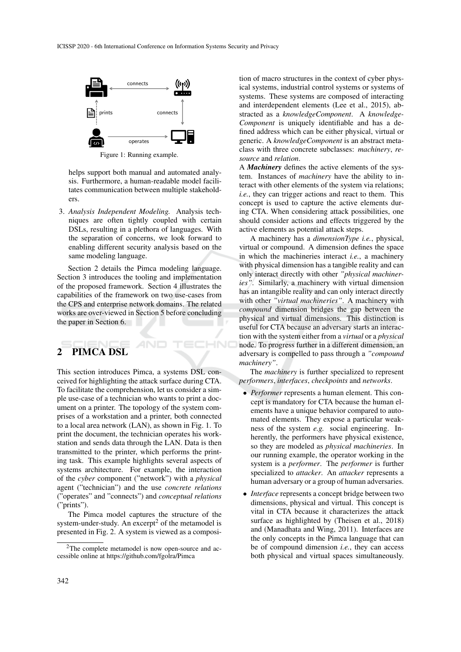

Figure 1: Running example.

helps support both manual and automated analysis. Furthermore, a human-readable model facilitates communication between multiple stakeholders.

3. *Analysis Independent Modeling.* Analysis techniques are often tightly coupled with certain DSLs, resulting in a plethora of languages. With the separation of concerns, we look forward to enabling different security analysis based on the same modeling language.

Section 2 details the Pimca modeling language. Section 3 introduces the tooling and implementation of the proposed framework. Section 4 illustrates the capabilities of the framework on two use-cases from the CPS and enterprise network domains. The related works are over-viewed in Section 5 before concluding the paper in Section 6.

HNO

# 2 PIMCA DSL

This section introduces Pimca, a systems DSL conceived for highlighting the attack surface during CTA. To facilitate the comprehension, let us consider a simple use-case of a technician who wants to print a document on a printer. The topology of the system comprises of a workstation and a printer, both connected to a local area network (LAN), as shown in Fig. 1. To print the document, the technician operates his workstation and sends data through the LAN. Data is then transmitted to the printer, which performs the printing task. This example highlights several aspects of systems architecture. For example, the interaction of the *cyber* component ("network") with a *physical* agent ("technician") and the use *concrete relations* ("operates" and "connects") and *conceptual relations* ("prints").

The Pimca model captures the structure of the system-under-study. An excerpt<sup>2</sup> of the metamodel is presented in Fig. 2. A system is viewed as a composi-

tion of macro structures in the context of cyber physical systems, industrial control systems or systems of systems. These systems are composed of interacting and interdependent elements (Lee et al., 2015), abstracted as a *knowledgeComponent*. A *knowledge-Component* is uniquely identifiable and has a defined address which can be either physical, virtual or generic. A *knowledgeComponent* is an abstract metaclass with three concrete subclasses: *machinery*, *resource* and *relation*.

A *Machinery* defines the active elements of the system. Instances of *machinery* have the ability to interact with other elements of the system via relations; *i.e.*, they can trigger actions and react to them. This concept is used to capture the active elements during CTA. When considering attack possibilities, one should consider actions and effects triggered by the active elements as potential attack steps.

A machinery has a *dimensionType i.e.*, physical, virtual or compound. A dimension defines the space in which the machineries interact *i.e.*, a machinery with physical dimension has a tangible reality and can only interact directly with other *"physical machineries"*. Similarly, a machinery with virtual dimension has an intangible reality and can only interact directly with other *"virtual machineries"*. A machinery with *compound* dimension bridges the gap between the physical and virtual dimensions. This distinction is useful for CTA because an adversary starts an interaction with the system either from a *virtual* or a *physical* node. To progress further in a different dimension, an adversary is compelled to pass through a *"compound machinery"*.

The *machinery* is further specialized to represent *performers*, *interfaces*, *checkpoints* and *networks*.

- *Performer* represents a human element. This concept is mandatory for CTA because the human elements have a unique behavior compared to automated elements. They expose a particular weakness of the system *e.g.* social engineering. Inherently, the performers have physical existence, so they are modeled as *physical machineries*. In our running example, the operator working in the system is a *performer*. The *performer* is further specialized to *attacker*. An *attacker* represents a human adversary or a group of human adversaries.
- *Interface* represents a concept bridge between two dimensions, physical and virtual. This concept is vital in CTA because it characterizes the attack surface as highlighted by (Theisen et al., 2018) and (Manadhata and Wing, 2011). Interfaces are the only concepts in the Pimca language that can be of compound dimension *i.e.*, they can access both physical and virtual spaces simultaneously.

<sup>2</sup>The complete metamodel is now open-source and accessible online at https://github.com/fgolra/Pimca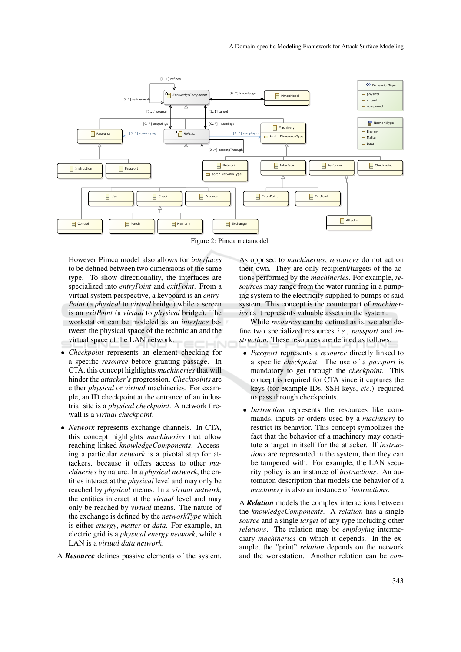

Figure 2: Pimca metamodel.

However Pimca model also allows for *interfaces* to be defined between two dimensions of the same type. To show directionality, the interfaces are specialized into *entryPoint* and *exitPoint*. From a virtual system perspective, a keyboard is an *entry-Point* (a *physical* to *virtual* bridge) while a screen is an *exitPoint* (a *virtual* to *physical* bridge). The workstation can be modeled as an *interface* between the physical space of the technician and the virtual space of the LAN network.

- *Checkpoint* represents an element checking for a specific *resource* before granting passage. In CTA, this concept highlights *machineries* that will hinder the *attacker's* progression. *Checkpoints* are either *physical* or *virtual* machineries. For example, an ID checkpoint at the entrance of an industrial site is a *physical checkpoint*. A network firewall is a *virtual checkpoint*.
- *Network* represents exchange channels. In CTA, this concept highlights *machineries* that allow reaching linked *knowledgeComponents*. Accessing a particular *network* is a pivotal step for attackers, because it offers access to other *machineries* by nature. In a *physical network*, the entities interact at the *physical* level and may only be reached by *physical* means. In a *virtual network*, the entities interact at the *virtual* level and may only be reached by *virtual* means. The nature of the exchange is defined by the *networkType* which is either *energy*, *matter* or *data*. For example, an electric grid is a *physical energy network*, while a LAN is a *virtual data network*.
- A *Resource* defines passive elements of the system.

As opposed to *machineries*, *resources* do not act on their own. They are only recipient/targets of the actions performed by the *machineries*. For example, *resources* may range from the water running in a pumping system to the electricity supplied to pumps of said system. This concept is the counterpart of *machineries* as it represents valuable assets in the system.

While *resources* can be defined as is, we also define two specialized resources *i.e.*, *passport* and *instruction*. These resources are defined as follows:

- *Passport* represents a *resource* directly linked to a specific *checkpoint*. The use of a *passport* is mandatory to get through the *checkpoint*. This concept is required for CTA since it captures the keys (for example IDs, SSH keys, *etc.*) required to pass through checkpoints.
- *Instruction* represents the resources like commands, inputs or orders used by a *machinery* to restrict its behavior. This concept symbolizes the fact that the behavior of a machinery may constitute a target in itself for the attacker. If *instructions* are represented in the system, then they can be tampered with. For example, the LAN security policy is an instance of *instructions*. An automaton description that models the behavior of a *machinery* is also an instance of *instructions*.

A *Relation* models the complex interactions between the *knowledgeComponents*. A *relation* has a single *source* and a single *target* of any type including other *relations*. The relation may be *employing* intermediary *machineries* on which it depends. In the example, the "print" *relation* depends on the network and the workstation. Another relation can be *con-*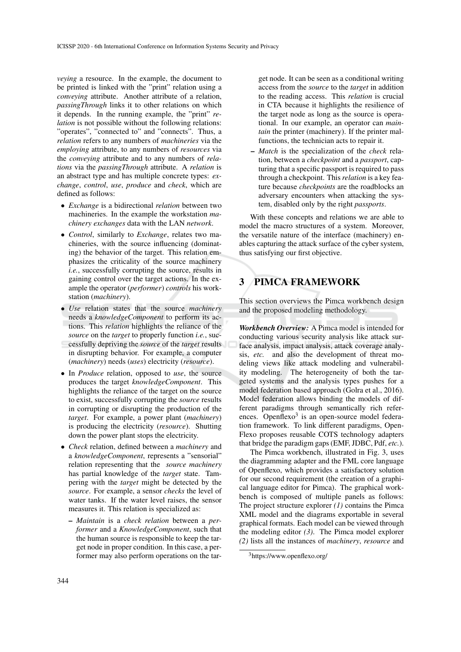*veying* a resource. In the example, the document to be printed is linked with the "print" relation using a *conveying* attribute. Another attribute of a relation, *passingThrough* links it to other relations on which it depends. In the running example, the "print" *relation* is not possible without the following relations: "operates", "connected to" and "connects". Thus, a *relation* refers to any numbers of *machineries* via the *employing* attribute, to any numbers of *resources* via the *conveying* attribute and to any numbers of *relations* via the *passingThrough* attribute. A *relation* is an abstract type and has multiple concrete types: *exchange*, *control*, *use*, *produce* and *check*, which are defined as follows:

- *Exchange* is a bidirectional *relation* between two machineries. In the example the workstation *machinery exchanges* data with the LAN *network*.
- *Control*, similarly to *Exchange*, relates two machineries, with the source influencing (dominating) the behavior of the target. This relation emphasizes the criticality of the source machinery *i.e.*, successfully corrupting the source, results in gaining control over the target actions. In the example the operator (*performer*) *controls* his workstation (*machinery*).
- *Use* relation states that the source *machinery* needs a *knowledgeComponent* to perform its actions. This *relation* highlights the reliance of the *source* on the *target* to properly function *i.e.*, successfully depriving the *source* of the *target* results in disrupting behavior. For example, a computer (*machinery*) needs (*uses*) electricity (*resource*).
- In *Produce* relation, opposed to *use*, the source produces the target *knowledgeComponent*. This highlights the reliance of the target on the source to exist, successfully corrupting the *source* results in corrupting or disrupting the production of the *target*. For example, a power plant (*machinery*) is producing the electricity (*resource*). Shutting down the power plant stops the electricity.
- *Check* relation, defined between a *machinery* and a *knowledgeComponent*, represents a "sensorial" relation representing that the *source machinery* has partial knowledge of the *target* state. Tampering with the *target* might be detected by the *source*. For example, a sensor *checks* the level of water tanks. If the water level raises, the sensor measures it. This relation is specialized as:
	- *Maintain* is a *check relation* between a *performer* and a *KnowledgeComponent*, such that the human source is responsible to keep the target node in proper condition. In this case, a performer may also perform operations on the tar-

get node. It can be seen as a conditional writing access from the *source* to the *target* in addition to the reading access. This *relation* is crucial in CTA because it highlights the resilience of the target node as long as the source is operational. In our example, an operator can *maintain* the printer (machinery). If the printer malfunctions, the technician acts to repair it.

– *Match* is the specialization of the *check* relation, between a *checkpoint* and a *passport*, capturing that a specific passport is required to pass through a checkpoint. This *relation* is a key feature because *checkpoints* are the roadblocks an adversary encounters when attacking the system, disabled only by the right *passports*.

With these concepts and relations we are able to model the macro structures of a system. Moreover, the versatile nature of the interface (machinery) enables capturing the attack surface of the cyber system, thus satisfying our first objective.

## 3 PIMCA FRAMEWORK

This section overviews the Pimca workbench design and the proposed modeling methodology.

*Workbench Overview:* A Pimca model is intended for conducting various security analysis like attack surface analysis, impact analysis, attack coverage analysis, *etc.* and also the development of threat modeling views like attack modeling and vulnerability modeling. The heterogeneity of both the targeted systems and the analysis types pushes for a model federation based approach (Golra et al., 2016). Model federation allows binding the models of different paradigms through semantically rich references. Openflexo<sup>3</sup> is an open-source model federation framework. To link different paradigms, Open-Flexo proposes reusable COTS technology adapters that bridge the paradigm gaps (EMF, JDBC, Pdf, *etc.*).

The Pimca workbench, illustrated in Fig. 3, uses the diagramming adapter and the FML core language of Openflexo, which provides a satisfactory solution for our second requirement (the creation of a graphical language editor for Pimca). The graphical workbench is composed of multiple panels as follows: The project structure explorer *(1)* contains the Pimca XML model and the diagrams exportable in several graphical formats. Each model can be viewed through the modeling editor *(3)*. The Pimca model explorer *(2)* lists all the instances of *machinery*, *resource* and

<sup>3</sup>https://www.openflexo.org/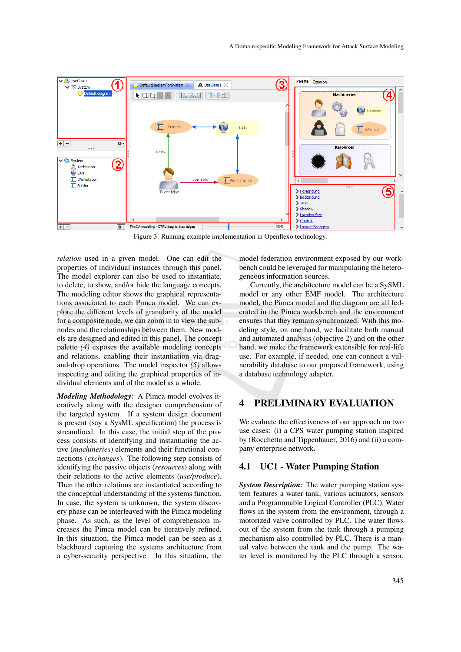

Figure 3: Running example implementation in Openflexo technology.

*relation* used in a given model. One can edit the properties of individual instances through this panel. The model explorer can also be used to instantiate, to delete, to show, and/or hide the language concepts. The modeling editor shows the graphical representations associated to each Pimca model. We can explore the different levels of granularity of the model for a composite node, we can zoom in to view the subnodes and the relationships between them. New models are designed and edited in this panel. The concept palette *(4)* exposes the available modeling concepts and relations, enabling their instantiation via dragand-drop operations. The model inspector *(5)* allows inspecting and editing the graphical properties of individual elements and of the model as a whole.

*Modeling Methodology:* A Pimca model evolves iteratively along with the designer comprehension of the targeted system. If a system design document is present (say a SysML specification) the process is streamlined. In this case, the initial step of the process consists of identifying and instantiating the active (*machineries*) elements and their functional connections (*exchanges*). The following step consists of identifying the passive objects (*resources*) along with their relations to the active elements (*use/produce*). Then the other relations are instantiated according to the conceptual understanding of the systems function. In case, the system is unknown, the system discovery phase can be interleaved with the Pimca modeling phase. As such, as the level of comprehension increases the Pimca model can be iteratively refined. In this situation, the Pimca model can be seen as a blackboard capturing the systems architecture from a cyber-security perspective. In this situation, the

model federation environment exposed by our workbench could be leveraged for manipulating the heterogeneous information sources.

Currently, the architecture model can be a SySML model or any other EMF model. The architecture model, the Pimca model and the diagram are all federated in the Pimca workbench and the environment ensures that they remain synchronized. With this modeling style, on one hand, we facilitate both manual and automated analysis (objective 2) and on the other hand, we make the framework extensible for real-life use. For example, if needed, one can connect a vulnerability database to our proposed framework, using a database technology adapter.

### 4 PRELIMINARY EVALUATION

We evaluate the effectiveness of our approach on two use cases: (i) a CPS water pumping station inspired by (Rocchetto and Tippenhauer, 2016) and (ii) a company enterprise network.

#### 4.1 UC1 - Water Pumping Station

*System Description:* The water pumping station system features a water tank, various actuators, sensors and a Programmable Logical Controller (PLC). Water flows in the system from the environment, through a motorized valve controlled by PLC. The water flows out of the system from the tank through a pumping mechanism also controlled by PLC. There is a manual valve between the tank and the pump. The water level is monitored by the PLC through a sensor.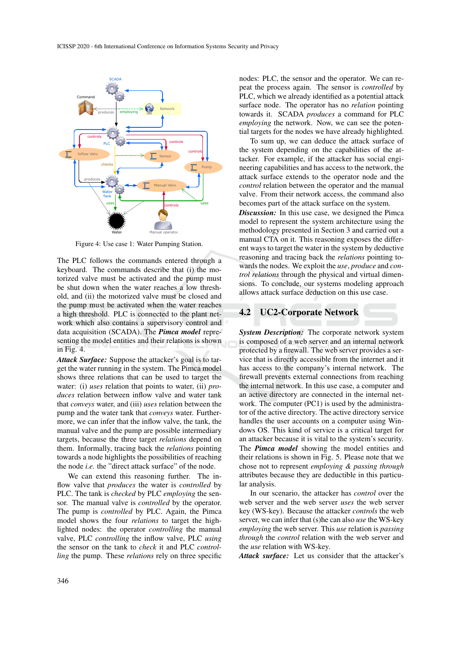

Figure 4: Use case 1: Water Pumping Station.

The PLC follows the commands entered through a keyboard. The commands describe that (i) the motorized valve must be activated and the pump must be shut down when the water reaches a low threshold, and (ii) the motorized valve must be closed and the pump must be activated when the water reaches a high threshold. PLC is connected to the plant network which also contains a supervisory control and data acquisition (SCADA). The *Pimca model* representing the model entities and their relations is shown in Fig. 4.

*Attack Surface:* Suppose the attacker's goal is to target the water running in the system. The Pimca model shows three relations that can be used to target the water: (i) *uses* relation that points to water, (ii) *produces* relation between inflow valve and water tank that *conveys* water, and (iii) *uses* relation between the pump and the water tank that *conveys* water. Furthermore, we can infer that the inflow valve, the tank, the manual valve and the pump are possible intermediary targets, because the three target *relations* depend on them. Informally, tracing back the *relations* pointing towards a node highlights the possibilities of reaching the node *i.e.* the "direct attack surface" of the node.

We can extend this reasoning further. The inflow valve that *produces* the water is *controlled* by PLC. The tank is *checked* by PLC *employing* the sensor. The manual valve is *controlled* by the operator. The pump is *controlled* by PLC. Again, the Pimca model shows the four *relations* to target the highlighted nodes: the operator *controlling* the manual valve, PLC *controlling* the inflow valve, PLC *using* the sensor on the tank to *check* it and PLC *controlling* the pump. These *relations* rely on three specific nodes: PLC, the sensor and the operator. We can repeat the process again. The sensor is *controlled* by PLC, which we already identified as a potential attack surface node. The operator has no *relation* pointing towards it. SCADA *produces* a command for PLC *employing* the network. Now, we can see the potential targets for the nodes we have already highlighted.

To sum up, we can deduce the attack surface of the system depending on the capabilities of the attacker. For example, if the attacker has social engineering capabilities and has access to the network, the attack surface extends to the operator node and the *control* relation between the operator and the manual valve. From their network access, the command also becomes part of the attack surface on the system.

*Discussion:* In this use case, we designed the Pimca model to represent the system architecture using the methodology presented in Section 3 and carried out a manual CTA on it. This reasoning exposes the different ways to target the water in the system by deductive reasoning and tracing back the *relations* pointing towards the nodes. We exploit the *use*, *produce* and *control relations* through the physical and virtual dimensions. To conclude, our systems modeling approach allows attack surface deduction on this use case.

#### 4.2 UC2-Corporate Network

*System Description:* The corporate network system is composed of a web server and an internal network protected by a firewall. The web server provides a service that is directly accessible from the internet and it has access to the company's internal network. The firewall prevents external connections from reaching the internal network. In this use case, a computer and an active directory are connected in the internal network. The computer (PC1) is used by the administrator of the active directory. The active directory service handles the user accounts on a computer using Windows OS. This kind of service is a critical target for an attacker because it is vital to the system's security. The *Pimca model* showing the model entities and their relations is shown in Fig. 5. Please note that we chose not to represent *employing & passing through* attributes because they are deductible in this particular analysis.

In our scenario, the attacker has *control* over the web server and the web server *uses* the web server key (WS-key). Because the attacker *controls* the web server, we can infer that (s)he can also *use* the WS-key *employing* the web server. This *use* relation is *passing through* the *control* relation with the web server and the *use* relation with WS-key.

*Attack surface:* Let us consider that the attacker's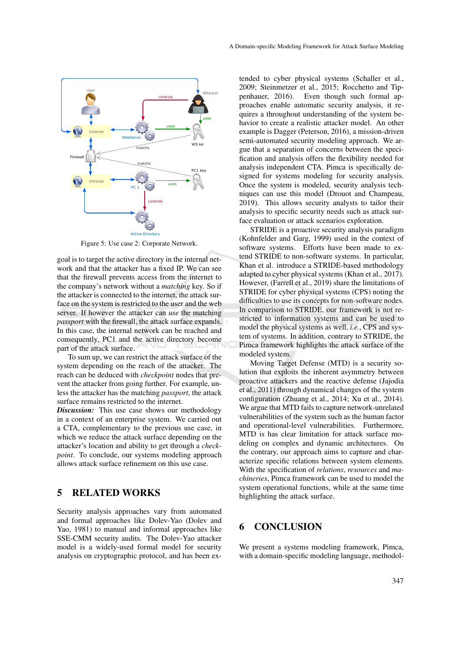

Figure 5: Use case 2: Corporate Network.

goal is to target the active directory in the internal network and that the attacker has a fixed IP. We can see that the firewall prevents access from the internet to the company's network without a *matching* key. So if the attacker is connected to the internet, the attack surface on the system is restricted to the user and the web server. If however the attacker can *use* the matching *passport* with the firewall, the attack surface expands. In this case, the internal network can be reached and consequently, PC1 and the active directory become part of the attack surface.

To sum up, we can restrict the attack surface of the system depending on the reach of the attacker. The reach can be deduced with *checkpoint* nodes that prevent the attacker from going further. For example, unless the attacker has the matching *passport*, the attack surface remains restricted to the internet.

*Discussion:* This use case shows our methodology in a context of an enterprise system. We carried out a CTA, complementary to the previous use case, in which we reduce the attack surface depending on the attacker's location and ability to get through a *checkpoint*. To conclude, our systems modeling approach allows attack surface refinement on this use case.

### 5 RELATED WORKS

Security analysis approaches vary from automated and formal approaches like Dolev-Yao (Dolev and Yao, 1981) to manual and informal approaches like SSE-CMM security audits. The Dolev-Yao attacker model is a widely-used formal model for security analysis on cryptographic protocol, and has been ex-

tended to cyber physical systems (Schaller et al., 2009; Steinmetzer et al., 2015; Rocchetto and Tippenhauer, 2016). Even though such formal approaches enable automatic security analysis, it requires a throughout understanding of the system behavior to create a realistic attacker model. An other example is Dagger (Peterson, 2016), a mission-driven semi-automated security modeling approach. We argue that a separation of concerns between the specification and analysis offers the flexibility needed for analysis independent CTA. Pimca is specifically designed for systems modeling for security analysis. Once the system is modeled, security analysis techniques can use this model (Drouot and Champeau, 2019). This allows security analysts to tailor their analysis to specific security needs such as attack surface evaluation or attack scenarios exploration.

STRIDE is a proactive security analysis paradigm (Kohnfelder and Garg, 1999) used in the context of software systems. Efforts have been made to extend STRIDE to non-software systems. In particular, Khan et al. introduce a STRIDE-based methodology adapted to cyber physical systems (Khan et al., 2017). However, (Farrell et al., 2019) share the limitations of STRIDE for cyber physical systems (CPS) noting the difficulties to use its concepts for non-software nodes. In comparison to STRIDE, our framework is not restricted to information systems and can be used to model the physical systems as well, *i.e.*, CPS and system of systems. In addition, contrary to STRIDE, the Pimca framework highlights the attack surface of the modeled system.

Moving Target Defense (MTD) is a security solution that exploits the inherent asymmetry between proactive attackers and the reactive defense (Jajodia et al., 2011) through dynamical changes of the system configuration (Zhuang et al., 2014; Xu et al., 2014). We argue that MTD fails to capture network-unrelated vulnerabilities of the system such as the human factor and operational-level vulnerabilities. Furthermore, MTD is has clear limitation for attack surface modeling on complex and dynamic architectures. On the contrary, our approach aims to capture and characterize specific relations between system elements. With the specification of *relations*, *resources* and *machineries*, Pimca framework can be used to model the system operational functions, while at the same time highlighting the attack surface.

## 6 CONCLUSION

We present a systems modeling framework, Pimca, with a domain-specific modeling language, methodol